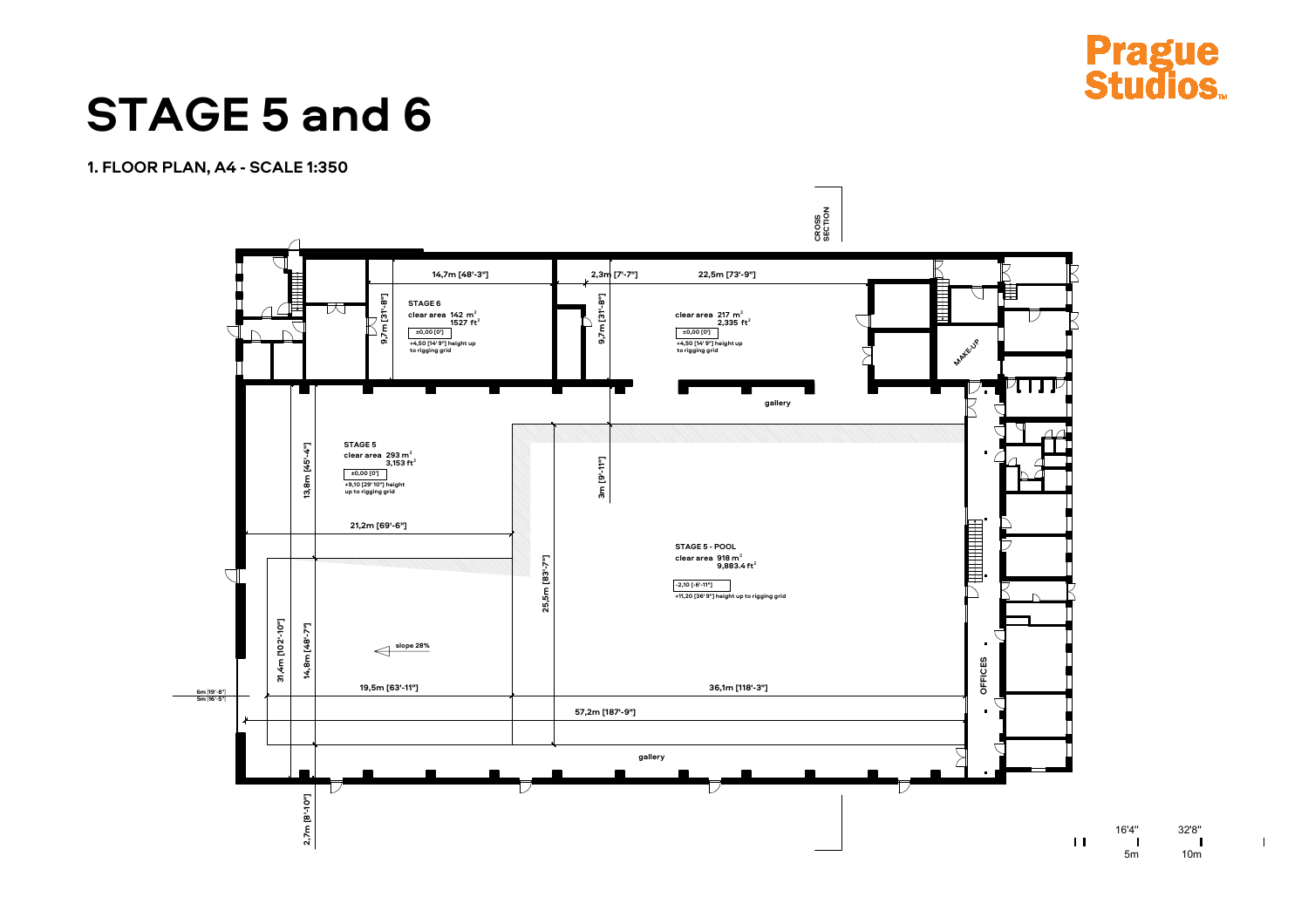



16'4" 32'8"<br>
| 16'4" 32'8"<br>
5m 10m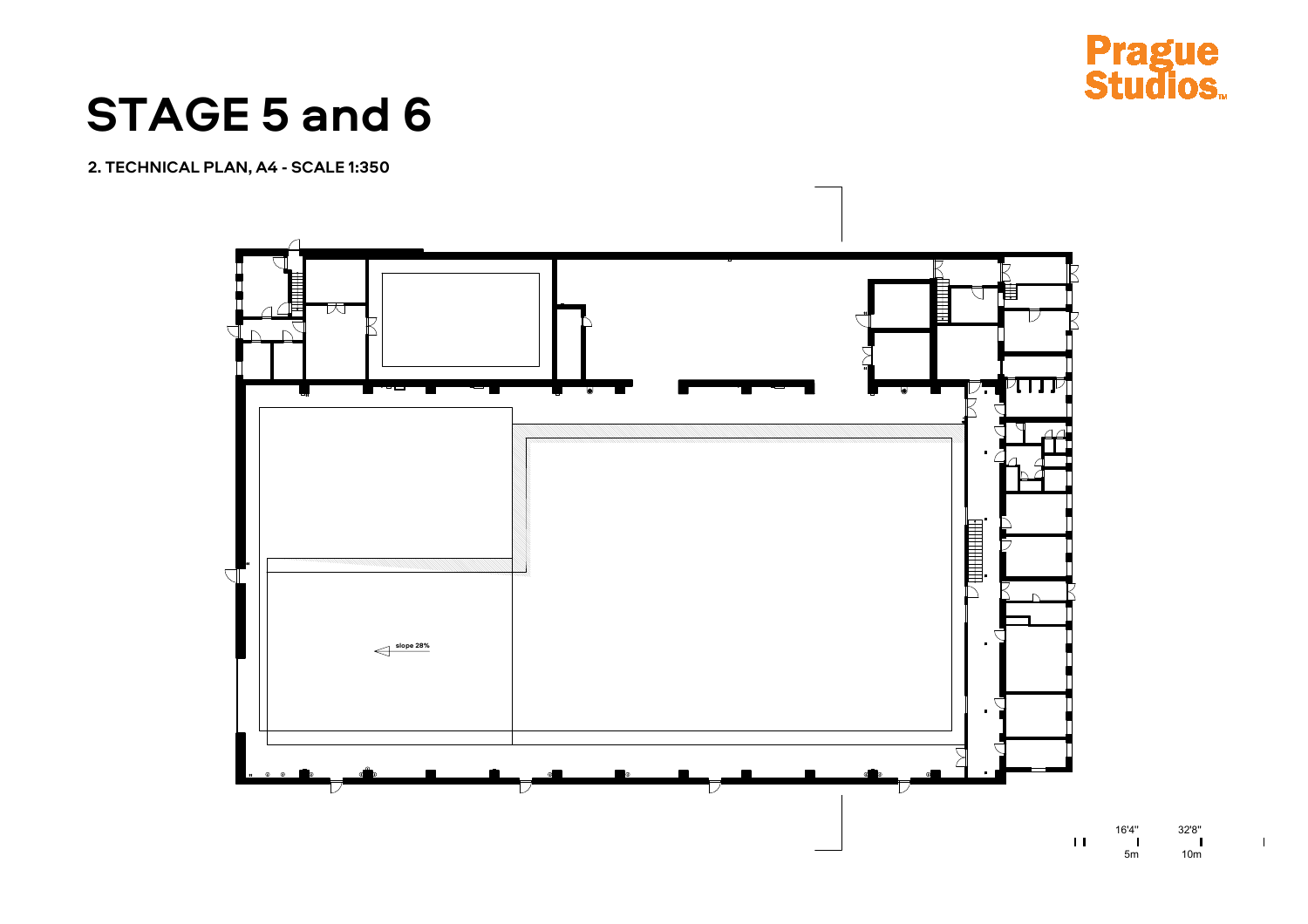

# **STAGE 5 and 6**

2. TECHNICAL PLAN, A4 - SCALE 1:350



 $32'8''$  $10<sub>m</sub>$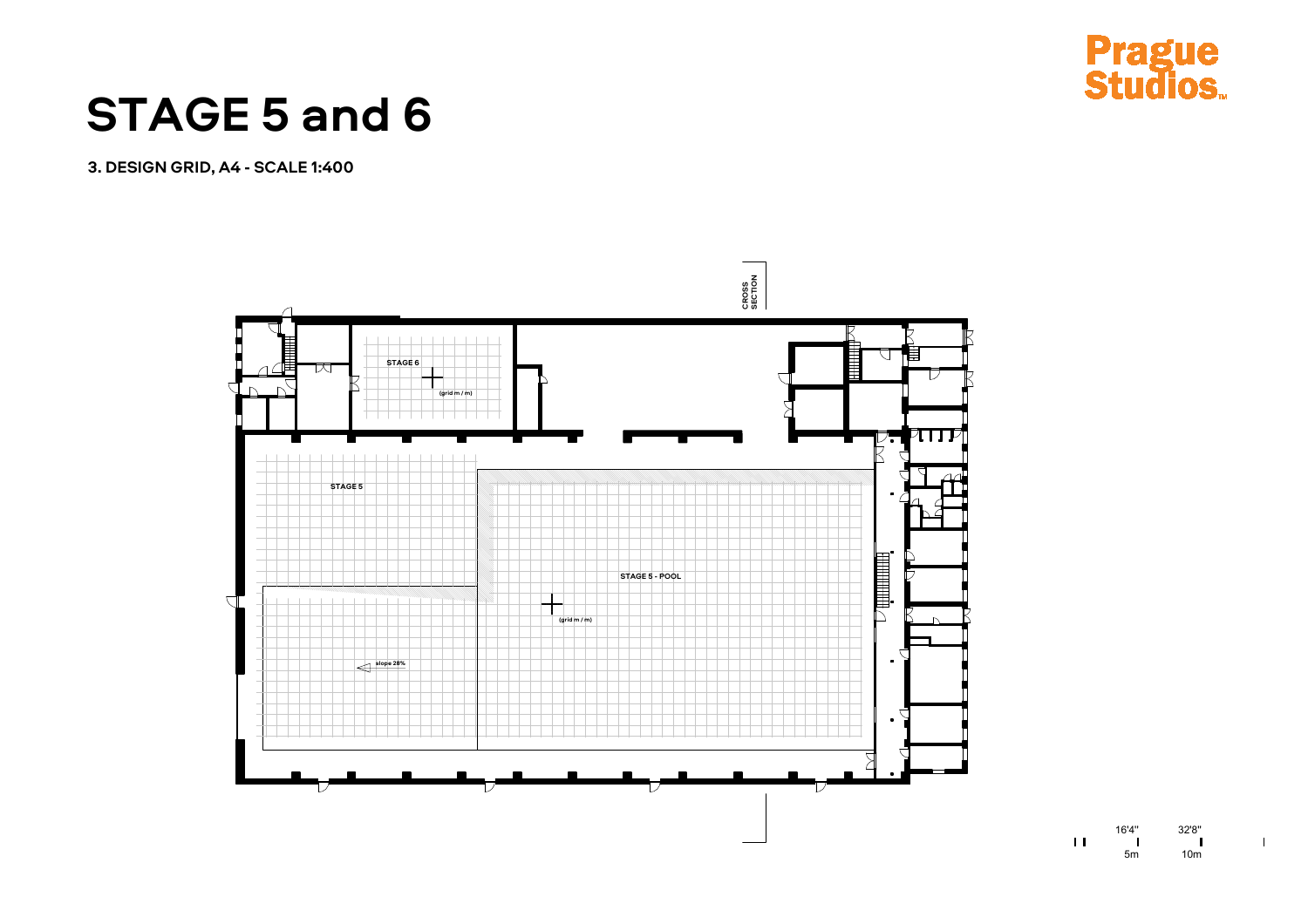



16'4" 32'8"<br>
| 16'4" 32'8"<br>
5m 10m  $\mathbf{H}$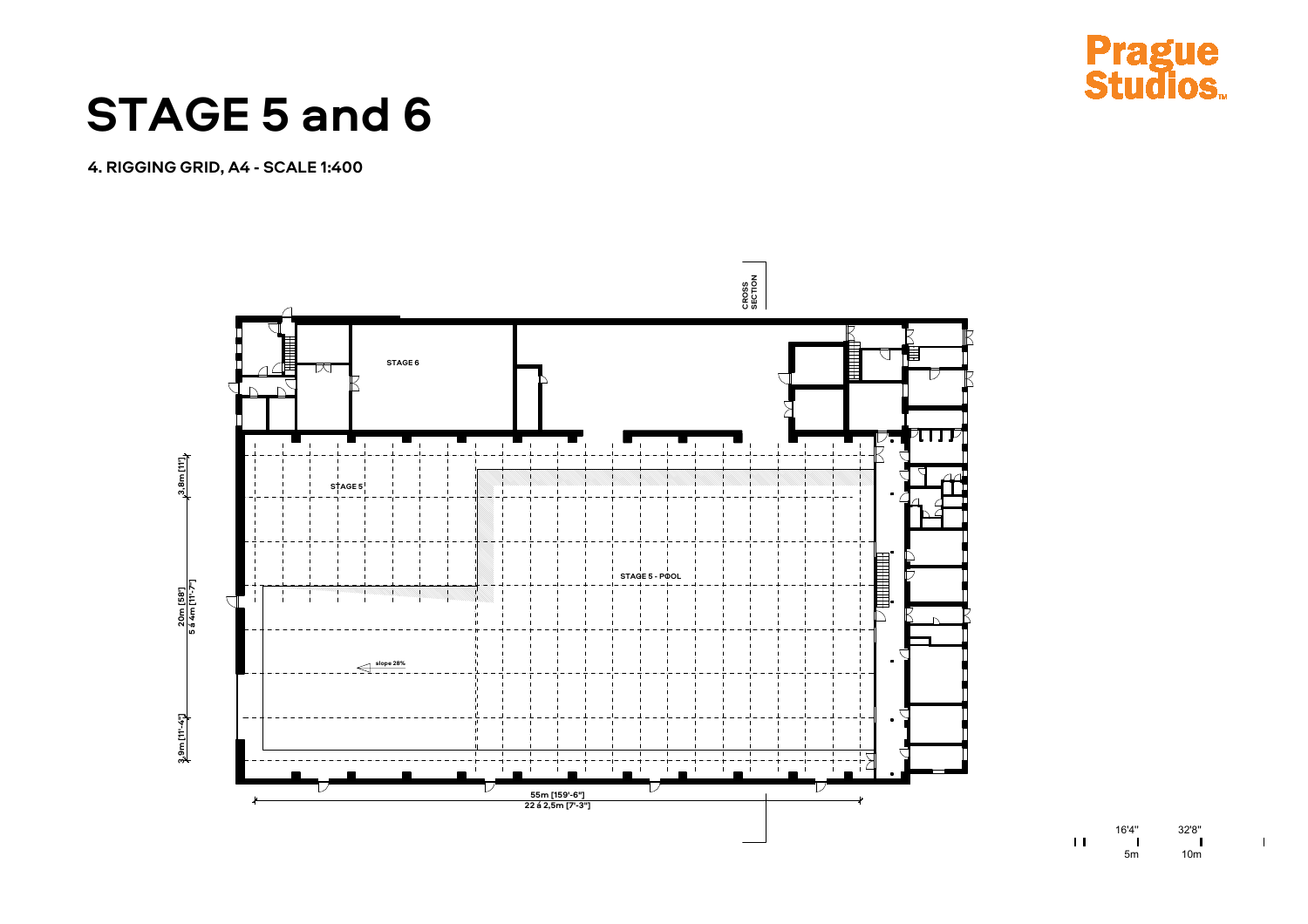



16'4" 32'8"<br>
| 16'4" 32'8"<br>
5m 10m  $\mathbf{H}$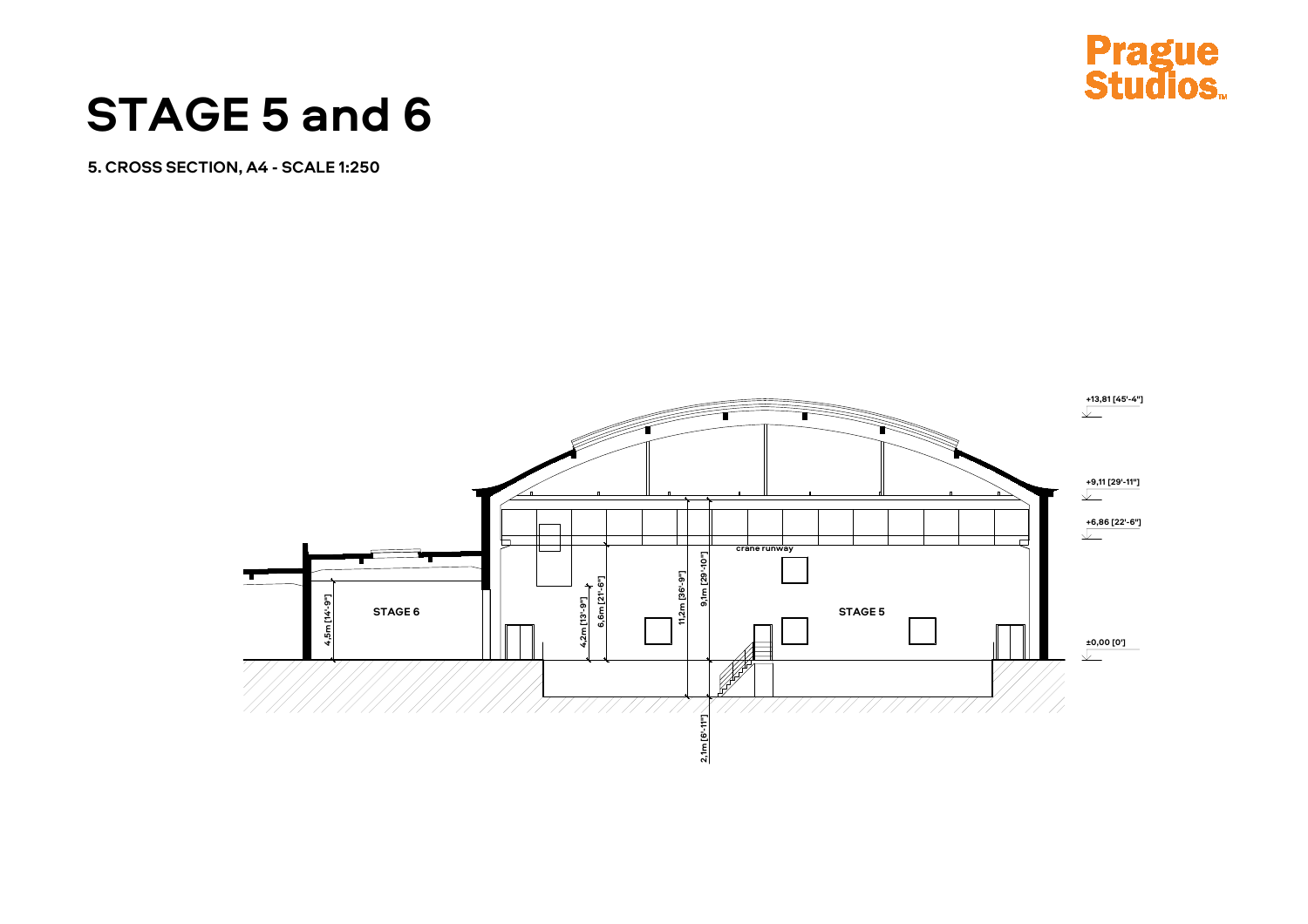